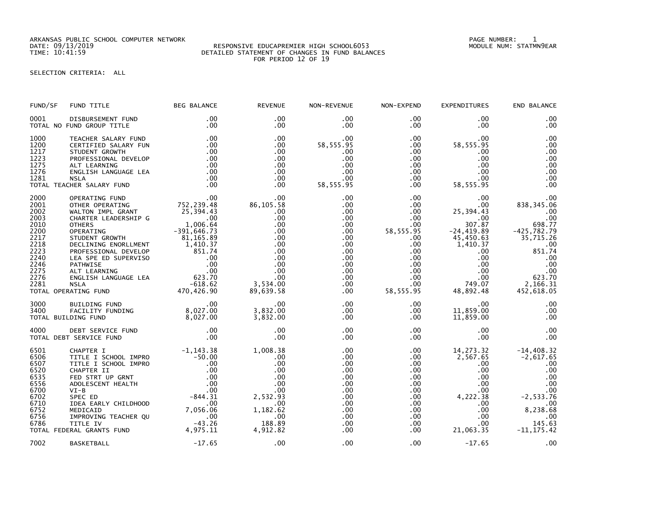ARKANSAS PUBLIC SCHOOL COMPUTER NETWORK PAGE NUMBER: 1

## DATE: 09/13/2019 RESPONSIVE EDUCAPREMIER HIGH SCHOOL6053 MODULE NUM: STATMN9EAR TIME: 10:41:59 DETAILED STATEMENT OF CHANGES IN FUND BALANCES FOR PERIOD 12 OF 19

## SELECTION CRITERIA: ALL

| FUND/SF                                                                                                      | FUND TITLE                                                                                                                                                                                                                                                                                                                                                                                     | <b>BEG BALANCE</b>                                                                                                                          | <b>REVENUE</b>                                                                                                                  | NON-REVENUE                                                                                                                                                     | NON-EXPEND                                                                                                                                                                           | <b>EXPENDITURES</b>                                                                                                                                                             | END BALANCE                                                                                                                                           |
|--------------------------------------------------------------------------------------------------------------|------------------------------------------------------------------------------------------------------------------------------------------------------------------------------------------------------------------------------------------------------------------------------------------------------------------------------------------------------------------------------------------------|---------------------------------------------------------------------------------------------------------------------------------------------|---------------------------------------------------------------------------------------------------------------------------------|-----------------------------------------------------------------------------------------------------------------------------------------------------------------|--------------------------------------------------------------------------------------------------------------------------------------------------------------------------------------|---------------------------------------------------------------------------------------------------------------------------------------------------------------------------------|-------------------------------------------------------------------------------------------------------------------------------------------------------|
| 0001                                                                                                         | DISBURSEMENT FUND<br>TOTAL NO FUND GROUP TITLE                                                                                                                                                                                                                                                                                                                                                 | .00<br>.00                                                                                                                                  | .00<br>$.00 \times$                                                                                                             | $.00 \,$<br>$.00 \,$                                                                                                                                            | $.00 \,$<br>$.00 \,$                                                                                                                                                                 | .00<br>.00                                                                                                                                                                      | .00<br>.00                                                                                                                                            |
| 1000<br>1200<br>1217<br>1223<br>1275<br>1276<br>1281                                                         | TEACHER SALARY FUND<br>CERTIFIED SALARY FUN<br>STUDENT GROWTH<br>PROFESSIONAL DEVELOP<br>ALT LEARNING<br>ENGLISH LANGUAGE LEA<br><b>NSLA</b><br>TOTAL TEACHER SALARY FUND                                                                                                                                                                                                                      | .00<br>.00<br>.00<br>.00<br>.00<br>.00<br>.00<br>.00                                                                                        | .00<br>$.00 \,$<br>.00<br>.00<br>$.00 \,$<br>.00<br>$.00 \,$<br>.00                                                             | $.00 \,$<br>58,555.95<br>.00<br>.00<br>.00<br>.00<br>.00<br>58,555.95                                                                                           | $.00 \,$<br>$.00 \,$<br>$.00 \,$<br>.00<br>$.00 \,$<br>.00<br>$.00 \,$<br>$.00 \,$                                                                                                   | .00<br>58, 555.95<br>.00<br>.00<br>.00<br>.00<br>.00<br>58,555.95                                                                                                               | .00<br>.00<br>.00<br>.00<br>.00<br>.00<br>.00<br>.00                                                                                                  |
| 2000<br>2001<br>2002<br>2003<br>2010<br>2200<br>2217<br>2218<br>2223<br>2240<br>2246<br>2275<br>2276<br>2281 | OPERATING FUND<br>OTHER OPERATING<br>WALTON IMPL GRANT<br>CHARTER LEADERSHIP G<br><b>OTHERS</b><br>OPERATING<br>STUDENT GROWTH<br>DECLINING ENORLLMENT<br>- CALINING CHUIRING CONSIDERS CONSIDERS AND DEVELOP<br>PROFESSIONAL DEVELOP 851.74<br>LEA SPE ED SUPERVISO 00<br>PATHWISE 00<br>ALT LEARNING 00<br>NGLISH LANGUAGE LEA 623.70<br>NSLA -618.62<br><b>NSLA</b><br>TOTAL OPERATING FUND | 00 .<br>752 , 239 . 48<br>25,394.43<br>1,006.64<br>$-391,646.73$<br>$81,165.89$<br>1,410.37<br>$-618.62$<br>470,426.90                      | .00<br>86,105.58<br>.00<br>.00<br>$.00 \times$<br>.00<br>.00<br>.00<br>.00<br>.00<br>.00<br>.00<br>.00<br>3,534.00<br>89,639.58 | .00<br>.00<br>$.00 \,$<br>.00<br>$.00 \,$<br>.00<br>$.00 \,$<br>$.00 \,$<br>$.00 \,$<br>$.00 \,$<br>.00<br>.00 <sub>1</sub><br>$.00 \,$<br>$.00 \,$<br>$.00 \,$ | $.00 \,$<br>$.00 \,$<br>$.00 \cdot$<br>$.00 \,$<br>$.00 \cdot$<br>58, 555.95<br>$.00 \,$<br>$.00 \,$<br>$.00 \,$<br>$.00 \,$<br>.00<br>$.00 \,$<br>$.00 \,$<br>$.00 \,$<br>58,555.95 | .00<br>$.00 \,$<br>25,394.43<br>$.00 \,$<br>307.87<br>$-24, 419.89$<br>45,450.63<br>1,410.37<br>$.00 \,$<br>$.00 \,$<br>$.00 \,$<br>$.00 \,$<br>$.00 \,$<br>749.07<br>48,892.48 | .00<br>838, 345.06<br>.00<br>.00<br>698.77<br>$-425,782.79$<br>35,715.26<br>.00<br>851.74<br>.00<br>.00<br>$00$ .<br>623.70<br>2,166.31<br>452,618.05 |
| 3000<br>3400                                                                                                 | BUILDING FUND<br>FACILITY FUNDING<br>TOTAL BUILDING FUND                                                                                                                                                                                                                                                                                                                                       | .00<br>8,027.00<br>8,027.00<br>8,027.00                                                                                                     | .00<br>3,832.00<br>3,832.00                                                                                                     | $.00 \,$<br>$.00 \,$<br>.00                                                                                                                                     | $.00 \,$<br>$.00 \,$<br>$.00 \,$                                                                                                                                                     | .00<br>11,859.00<br>11,859.00                                                                                                                                                   | .00<br>.00<br>.00                                                                                                                                     |
| 4000                                                                                                         | DEBT SERVICE FUND<br>TOTAL DEBT SERVICE FUND                                                                                                                                                                                                                                                                                                                                                   | .00<br>.00                                                                                                                                  | .00<br>.00                                                                                                                      | .00<br>.00                                                                                                                                                      | $.00 \,$<br>$.00 \,$                                                                                                                                                                 | .00.<br>.00                                                                                                                                                                     | .00<br>.00                                                                                                                                            |
| 6501<br>6506<br>6507<br>6520<br>6535<br>6556<br>6700<br>6702<br>6710<br>6752<br>6756<br>6786                 | CHAPTER I<br>TITLE I SCHOOL IMPRO<br>TITLE I SCHOOL IMPRO<br>CHAPTER II<br>FED STRT UP GRNT<br>ADOLESCENT HEALTH<br>$VI-B$<br>SPEC ED<br>IDEA EARLY CHILDHOOD<br>MEDICAID<br>IMPROVING TEACHER QU<br>TITLE IV<br>TOTAL FEDERAL GRANTS FUND 4,975.11                                                                                                                                            | $-1, 143.38$<br>$-50.00$<br>.00<br>.00<br>$\begin{array}{c} .00 \\ .00 \\ .00 \\ .00 \\ -844.31 \end{array}$<br>.00<br>7,056.06<br>$-43.26$ | 1,008.38<br>$.00 \,$<br>.00<br>.00<br>.00<br>.00<br>.00<br>2,532.93<br>.00<br>1,182.62<br>$\sim$ .00<br>188.89<br>4,912.82      | .00<br>.00<br>.00<br>.00<br>.00<br>.00<br>$.00 \,$<br>.00<br>$.00 \,$<br>$.00 \,$<br>$.00 \,$<br>$.00 \,$<br>$.00 \,$                                           | $.00 \,$<br>.00<br>$.00 \,$<br>$.00 \,$<br>.00<br>$.00 \,$<br>$.00 \,$<br>$.00 \,$<br>.00<br>.00<br>$.00 \,$<br>$.00 \,$<br>.00                                                      | 14, 273.32<br>2,567.65<br>.00<br>.00<br>$.00 \cdot$<br>$.00 \,$<br>$.00 \,$<br>4,222.38<br>.00.<br>$.00 \,$<br>.00<br>$.00 \,$<br>21,063.35                                     | $-14,408.32$<br>$-2,617.65$<br>.00<br>.00<br>.00<br>.00<br>.00<br>$-2,533.76$<br>.00<br>8,238.68<br>.00<br>145.63<br>$-11, 175.42$                    |
| 7002                                                                                                         | BASKETBALL                                                                                                                                                                                                                                                                                                                                                                                     | $-17.65$                                                                                                                                    | .00                                                                                                                             | .00                                                                                                                                                             | $.00 \,$                                                                                                                                                                             | $-17.65$                                                                                                                                                                        | .00                                                                                                                                                   |